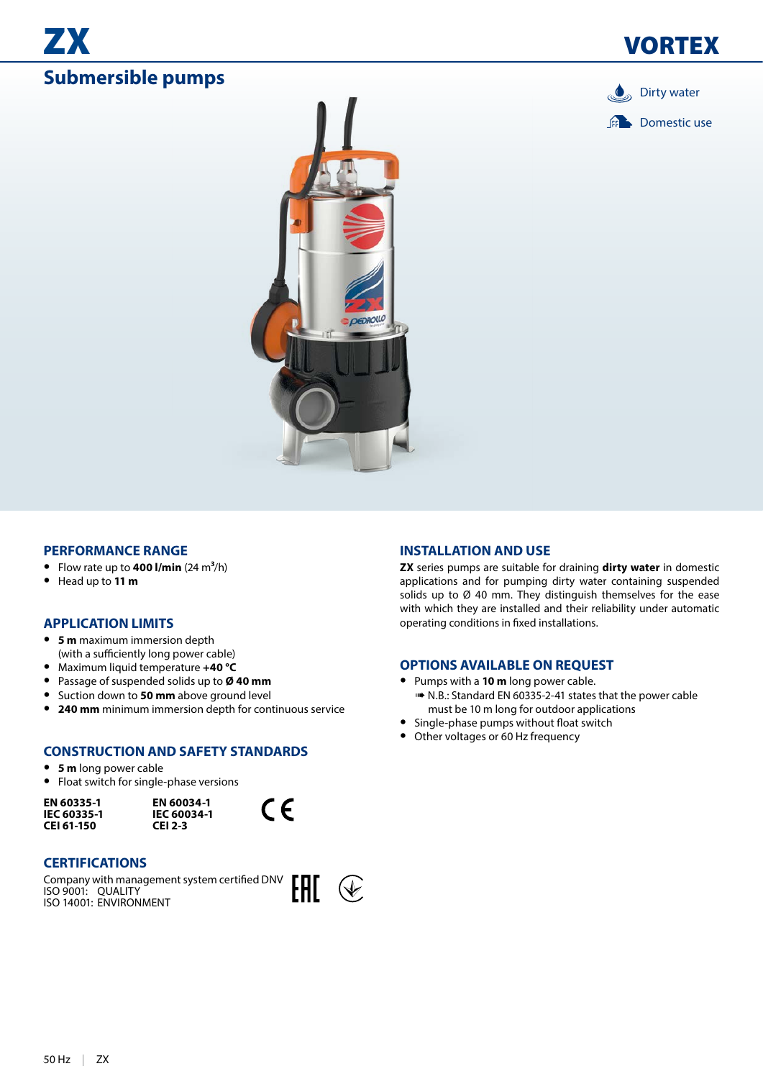## ZX **Submersible pumps**







### **PERFORMANCE RANGE**

- Flow rate up to **400 l/min**  $(24 \text{ m}^3/\text{h})$
- **•** Head up to **11 m**

### **APPLICATION LIMITS**

- **• 5 m** maximum immersion depth (with a sufficiently long power cable)
- **•** Maximum liquid temperature **+40 °C**
- **•** Passage of suspended solids up to **Ø 40 mm**
- **•** Suction down to **50 mm** above ground level
- **• 240 mm** minimum immersion depth for continuous service

### **CONSTRUCTION AND SAFETY STANDARDS**

- **• 5 m** long power cable
- **•** Float switch for single-phase versions

**EN 60335-1 IEC 60335-1 CEI 61-150**

**EN 60034-1 IEC 60034-1 CEI 2-3**



### **CERTIFICATIONS**

Company with management system certified DNV ISO 9001: QUALITY ISO 14001: ENVIRONMENT



#### **INSTALLATION AND USE**

**ZX** series pumps are suitable for draining **dirty water** in domestic applications and for pumping dirty water containing suspended solids up to Ø 40 mm. They distinguish themselves for the ease with which they are installed and their reliability under automatic operating conditions in fixed installations.

### **OPTIONS AVAILABLE ON REQUEST**

- **•** Pumps with a **10 m** long power cable.
	- ➠ N.B.: Standard EN 60335-2-41 states that the power cable must be 10 m long for outdoor applications
- **•** Single-phase pumps without float switch
- **•** Other voltages or 60 Hz frequency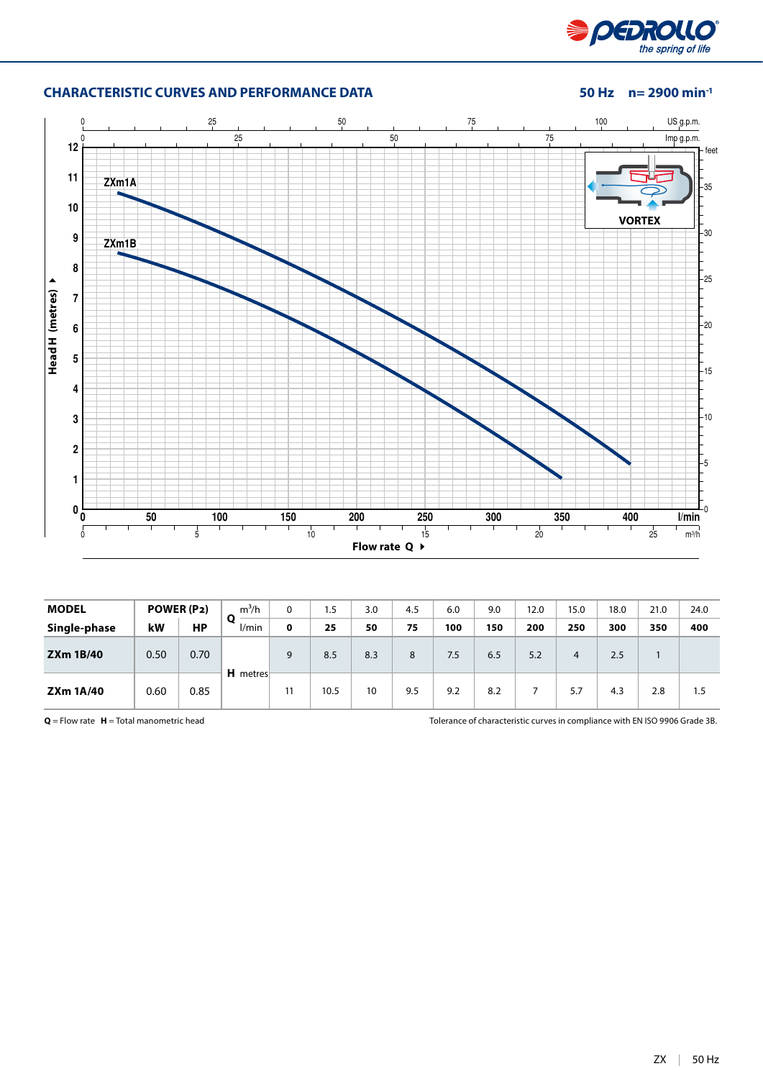

### **CHARACTERISTIC CURVES AND PERFORMANCE DATA 50 Hz n= 2900 min-1**



| <b>MODEL</b>     |      | POWER (P2) | $m^3/h$<br>O<br>l/min | 0  | 1.5  | 3.0 | 4.5 | 6.0 | 9.0 | 12.0 | 15.0 | 18.0 | 21.0 | 24.0 |
|------------------|------|------------|-----------------------|----|------|-----|-----|-----|-----|------|------|------|------|------|
| Single-phase     | kW   | HP         |                       | 0  | 25   | 50  | 75  | 100 | 150 | 200  | 250  | 300  | 350  | 400  |
| <b>ZXm 1B/40</b> | 0.50 | 0.70       | H metres              | 9  | 8.5  | 8.3 | 8   | 7.5 | 6.5 | 5.2  | 4    | 2.5  |      |      |
| <b>ZXm 1A/40</b> | 0.60 | 0.85       |                       | 11 | 10.5 | 10  | 9.5 | 9.2 | 8.2 |      | 5.7  | 4.3  | 2.8  | 1.5  |

**Q** = Flow rate **H** = Total manometric head Tolerance of characteristic curves in compliance with EN ISO 9906 Grade 3B.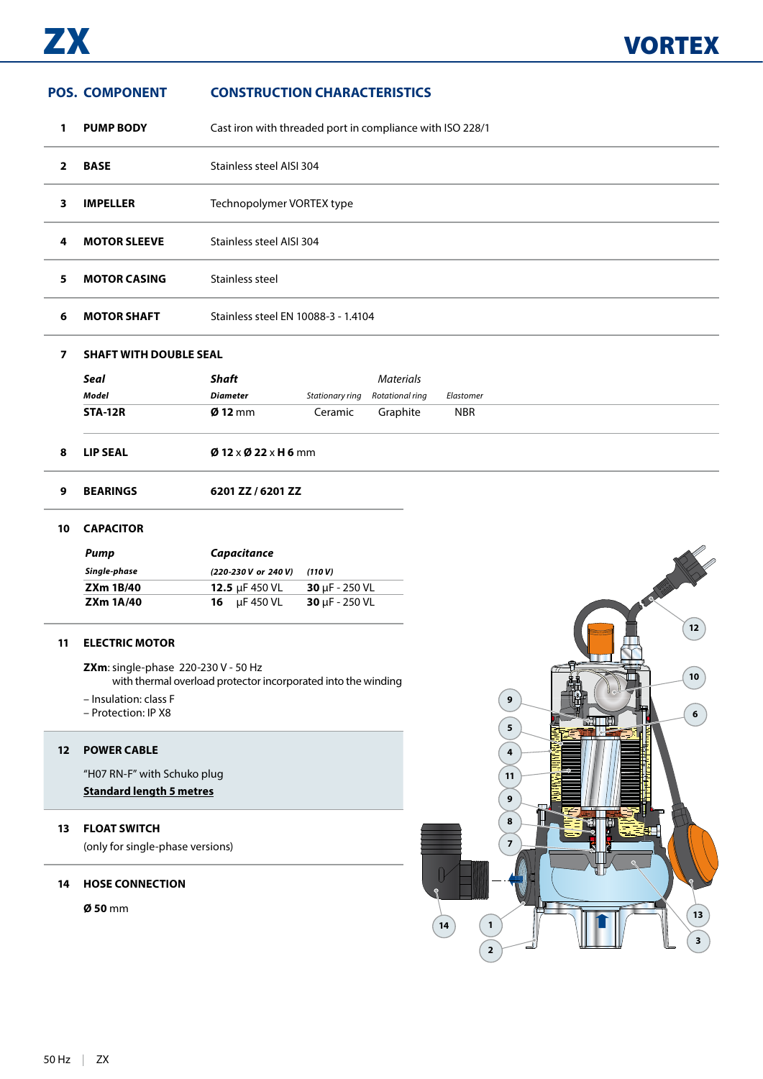# **BEARINGS 6201 ZZ / 6201 ZZ CAPACITOR POS. COMPONENT CONSTRUCTION CHARACTERISTICS PUMP BODY** Cast iron with threaded port in compliance with ISO 228/1 **BASE** Stainless steel AISI 304 **IMPELLER** Technopolymer VORTEX type **MOTOR SLEEVE** Stainless steel AISI 304 **5 MOTOR CASING** Stainless steel **MOTOR SHAFT** Stainless steel EN 10088-3 - 1.4104 **SHAFT WITH DOUBLE SEAL** *Seal Shaft Materials Model Diameter Stationary ring Rotational ring Elastomer* **STA-12R Ø 12** mm Ceramic Graphite NBR **LIP SEAL Ø 12** x **Ø 22** x **H 6** mm

| Pump             | Capacitance              |                             |
|------------------|--------------------------|-----------------------------|
| Single-phase     | (220-230 V or 240 V)     | (110 V)                     |
| <b>ZXm 1B/40</b> | 12.5 $\mu$ F 450 VL      | $30 \mu F - 250 \text{ VL}$ |
| <b>ZXm 1A/40</b> | <b>16</b> $\mu$ F 450 VL | $30 \mu F - 250 \text{ VL}$ |

### **ELECTRIC MOTOR**

**ZXm**: single-phase 220-230 V - 50 Hz with thermal overload protector incorporated into the winding

– Insulation: class F

– Protection: IP X8

### **POWER CABLE**

"H07 RN-F" with Schuko plug

### **Standard length 5 metres**

### **FLOAT SWITCH**

(only for single-phase versions)

### **HOSE CONNECTION**

**Ø 50** mm